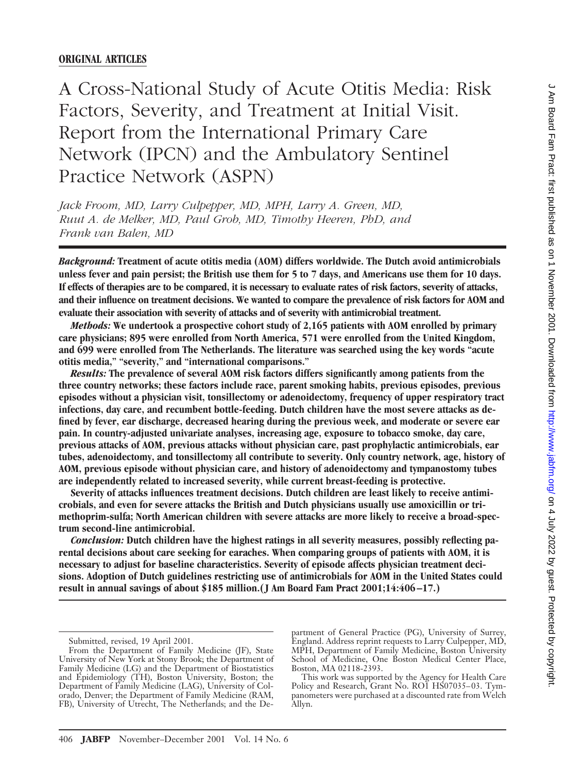# **ORIGINAL ARTICLES**

A Cross-National Study of Acute Otitis Media: Risk Factors, Severity, and Treatment at Initial Visit. Report from the International Primary Care Network (IPCN) and the Ambulatory Sentinel Practice Network (ASPN)

*Jack Froom, MD, Larry Culpepper, MD, MPH, Larry A. Green, MD, Ruut A. de Melker, MD, Paul Grob, MD, Timothy Heeren, PhD, and Frank van Balen, MD*

*Background:* **Treatment of acute otitis media (AOM) differs worldwide. The Dutch avoid antimicrobials unless fever and pain persist; the British use them for 5 to 7 days, and Americans use them for 10 days. If effects of therapies are to be compared, it is necessary to evaluate rates of risk factors, severity of attacks, and their influence on treatment decisions. We wanted to compare the prevalence of risk factors for AOM and evaluate their association with severity of attacks and of severity with antimicrobial treatment.**

*Methods:* **We undertook a prospective cohort study of 2,165 patients with AOM enrolled by primary care physicians; 895 were enrolled from North America, 571 were enrolled from the United Kingdom, and 699 were enrolled from The Netherlands. The literature was searched using the key words "acute otitis media," "severity," and "international comparisons."**

*Results:* **The prevalence of several AOM risk factors differs significantly among patients from the three country networks; these factors include race, parent smoking habits, previous episodes, previous episodes without a physician visit, tonsillectomy or adenoidectomy, frequency of upper respiratory tract infections, day care, and recumbent bottle-feeding. Dutch children have the most severe attacks as defined by fever, ear discharge, decreased hearing during the previous week, and moderate or severe ear pain. In country-adjusted univariate analyses, increasing age, exposure to tobacco smoke, day care, previous attacks of AOM, previous attacks without physician care, past prophylactic antimicrobials, ear tubes, adenoidectomy, and tonsillectomy all contribute to severity. Only country network, age, history of AOM, previous episode without physician care, and history of adenoidectomy and tympanostomy tubes are independently related to increased severity, while current breast-feeding is protective.**

**Severity of attacks influences treatment decisions. Dutch children are least likely to receive antimicrobials, and even for severe attacks the British and Dutch physicians usually use amoxicillin or trimethoprim-sulfa; North American children with severe attacks are more likely to receive a broad-spectrum second-line antimicrobial.**

*Conclusion:* **Dutch children have the highest ratings in all severity measures, possibly reflecting parental decisions about care seeking for earaches. When comparing groups of patients with AOM, it is necessary to adjust for baseline characteristics. Severity of episode affects physician treatment decisions. Adoption of Dutch guidelines restricting use of antimicrobials for AOM in the United States could result in annual savings of about \$185 million.(J Am Board Fam Pract 2001;14:406–17.)**

partment of General Practice (PG), University of Surrey, England. Address reprint requests to Larry Culpepper, MD, MPH, Department of Family Medicine, Boston University School of Medicine, One Boston Medical Center Place, Boston, MA 02118-2393.

This work was supported by the Agency for Health Care Policy and Research, Grant No. ROI HS07035-03. Tympanometers were purchased at a discounted rate from Welch Allyn.

Submitted, revised, 19 April 2001.

From the Department of Family Medicine (JF), State University of New York at Stony Brook; the Department of Family Medicine (LG) and the Department of Biostatistics and Epidemiology (TH), Boston University, Boston; the Department of Family Medicine (LAG), University of Colorado, Denver; the Department of Family Medicine (RAM, FB), University of Utrecht, The Netherlands; and the De-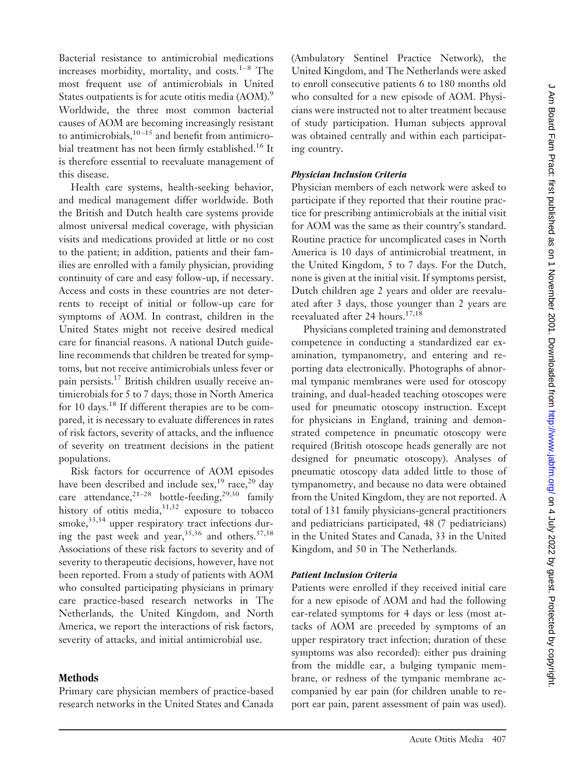Bacterial resistance to antimicrobial medications increases morbidity, mortality, and costs. $1-8$  The most frequent use of antimicrobials in United States outpatients is for acute otitis media (AOM).<sup>9</sup> Worldwide, the three most common bacterial causes of AOM are becoming increasingly resistant to antimicrobials, $10 - 15$  and benefit from antimicrobial treatment has not been firmly established.16 It is therefore essential to reevaluate management of this disease.

Health care systems, health-seeking behavior, and medical management differ worldwide. Both the British and Dutch health care systems provide almost universal medical coverage, with physician visits and medications provided at little or no cost to the patient; in addition, patients and their families are enrolled with a family physician, providing continuity of care and easy follow-up, if necessary. Access and costs in these countries are not deterrents to receipt of initial or follow-up care for symptoms of AOM. In contrast, children in the United States might not receive desired medical care for financial reasons. A national Dutch guideline recommends that children be treated for symptoms, but not receive antimicrobials unless fever or pain persists.17 British children usually receive antimicrobials for 5 to 7 days; those in North America for 10 days.18 If different therapies are to be compared, it is necessary to evaluate differences in rates of risk factors, severity of attacks, and the influence of severity on treatment decisions in the patient populations.

Risk factors for occurrence of AOM episodes have been described and include sex,<sup>19</sup> race,<sup>20</sup> day care attendance,  $2^{1-28}$  bottle-feeding,  $2^{9,30}$  family history of otitis media, $31,32$  exposure to tobacco smoke, 33,34 upper respiratory tract infections during the past week and year,  $35,36$  and others.  $37,38$ Associations of these risk factors to severity and of severity to therapeutic decisions, however, have not been reported. From a study of patients with AOM who consulted participating physicians in primary care practice-based research networks in The Netherlands, the United Kingdom, and North America, we report the interactions of risk factors, severity of attacks, and initial antimicrobial use.

### **Methods**

Primary care physician members of practice-based research networks in the United States and Canada

(Ambulatory Sentinel Practice Network), the United Kingdom, and The Netherlands were asked to enroll consecutive patients 6 to 180 months old who consulted for a new episode of AOM. Physicians were instructed not to alter treatment because of study participation. Human subjects approval was obtained centrally and within each participating country.

### *Physician Inclusion Criteria*

Physician members of each network were asked to participate if they reported that their routine practice for prescribing antimicrobials at the initial visit for AOM was the same as their country's standard. Routine practice for uncomplicated cases in North America is 10 days of antimicrobial treatment, in the United Kingdom, 5 to 7 days. For the Dutch, none is given at the initial visit. If symptoms persist, Dutch children age 2 years and older are reevaluated after 3 days, those younger than 2 years are reevaluated after 24 hours.<sup>17,18</sup>

Physicians completed training and demonstrated competence in conducting a standardized ear examination, tympanometry, and entering and reporting data electronically. Photographs of abnormal tympanic membranes were used for otoscopy training, and dual-headed teaching otoscopes were used for pneumatic otoscopy instruction. Except for physicians in England, training and demonstrated competence in pneumatic otoscopy were required (British otoscope heads generally are not designed for pneumatic otoscopy). Analyses of pneumatic otoscopy data added little to those of tympanometry, and because no data were obtained from the United Kingdom, they are not reported. A total of 131 family physicians-general practitioners and pediatricians participated, 48 (7 pediatricians) in the United States and Canada, 33 in the United Kingdom, and 50 in The Netherlands.

### *Patient Inclusion Criteria*

Patients were enrolled if they received initial care for a new episode of AOM and had the following ear-related symptoms for 4 days or less (most attacks of AOM are preceded by symptoms of an upper respiratory tract infection; duration of these symptoms was also recorded): either pus draining from the middle ear, a bulging tympanic membrane, or redness of the tympanic membrane accompanied by ear pain (for children unable to report ear pain, parent assessment of pain was used).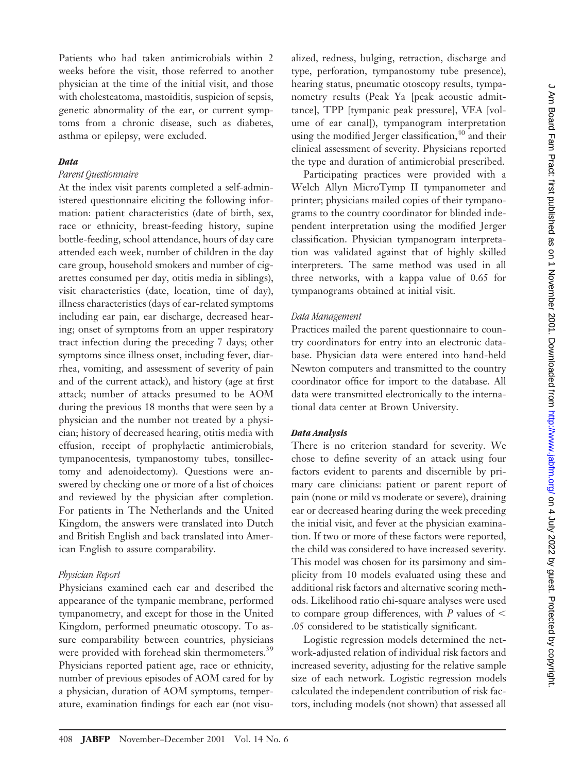Patients who had taken antimicrobials within 2 weeks before the visit, those referred to another physician at the time of the initial visit, and those with cholesteatoma, mastoiditis, suspicion of sepsis, genetic abnormality of the ear, or current symptoms from a chronic disease, such as diabetes, asthma or epilepsy, were excluded.

#### *Data*

### *Parent Questionnaire*

At the index visit parents completed a self-administered questionnaire eliciting the following information: patient characteristics (date of birth, sex, race or ethnicity, breast-feeding history, supine bottle-feeding, school attendance, hours of day care attended each week, number of children in the day care group, household smokers and number of cigarettes consumed per day, otitis media in siblings), visit characteristics (date, location, time of day), illness characteristics (days of ear-related symptoms including ear pain, ear discharge, decreased hearing; onset of symptoms from an upper respiratory tract infection during the preceding 7 days; other symptoms since illness onset, including fever, diarrhea, vomiting, and assessment of severity of pain and of the current attack), and history (age at first attack; number of attacks presumed to be AOM during the previous 18 months that were seen by a physician and the number not treated by a physician; history of decreased hearing, otitis media with effusion, receipt of prophylactic antimicrobials, tympanocentesis, tympanostomy tubes, tonsillectomy and adenoidectomy). Questions were answered by checking one or more of a list of choices and reviewed by the physician after completion. For patients in The Netherlands and the United Kingdom, the answers were translated into Dutch and British English and back translated into American English to assure comparability.

#### *Physician Report*

Physicians examined each ear and described the appearance of the tympanic membrane, performed tympanometry, and except for those in the United Kingdom, performed pneumatic otoscopy. To assure comparability between countries, physicians were provided with forehead skin thermometers.<sup>39</sup> Physicians reported patient age, race or ethnicity, number of previous episodes of AOM cared for by a physician, duration of AOM symptoms, temperature, examination findings for each ear (not visualized, redness, bulging, retraction, discharge and type, perforation, tympanostomy tube presence), hearing status, pneumatic otoscopy results, tympanometry results (Peak Ya [peak acoustic admittance], TPP [tympanic peak pressure], VEA [volume of ear canal]), tympanogram interpretation using the modified Jerger classification,<sup>40</sup> and their clinical assessment of severity. Physicians reported the type and duration of antimicrobial prescribed.

Participating practices were provided with a Welch Allyn MicroTymp II tympanometer and printer; physicians mailed copies of their tympanograms to the country coordinator for blinded independent interpretation using the modified Jerger classification. Physician tympanogram interpretation was validated against that of highly skilled interpreters. The same method was used in all three networks, with a kappa value of 0.65 for tympanograms obtained at initial visit.

#### *Data Management*

Practices mailed the parent questionnaire to country coordinators for entry into an electronic database. Physician data were entered into hand-held Newton computers and transmitted to the country coordinator office for import to the database. All data were transmitted electronically to the international data center at Brown University.

#### *Data Analysis*

There is no criterion standard for severity. We chose to define severity of an attack using four factors evident to parents and discernible by primary care clinicians: patient or parent report of pain (none or mild vs moderate or severe), draining ear or decreased hearing during the week preceding the initial visit, and fever at the physician examination. If two or more of these factors were reported, the child was considered to have increased severity. This model was chosen for its parsimony and simplicity from 10 models evaluated using these and additional risk factors and alternative scoring methods. Likelihood ratio chi-square analyses were used to compare group differences, with *P* values of .05 considered to be statistically significant.

Logistic regression models determined the network-adjusted relation of individual risk factors and increased severity, adjusting for the relative sample size of each network. Logistic regression models calculated the independent contribution of risk factors, including models (not shown) that assessed all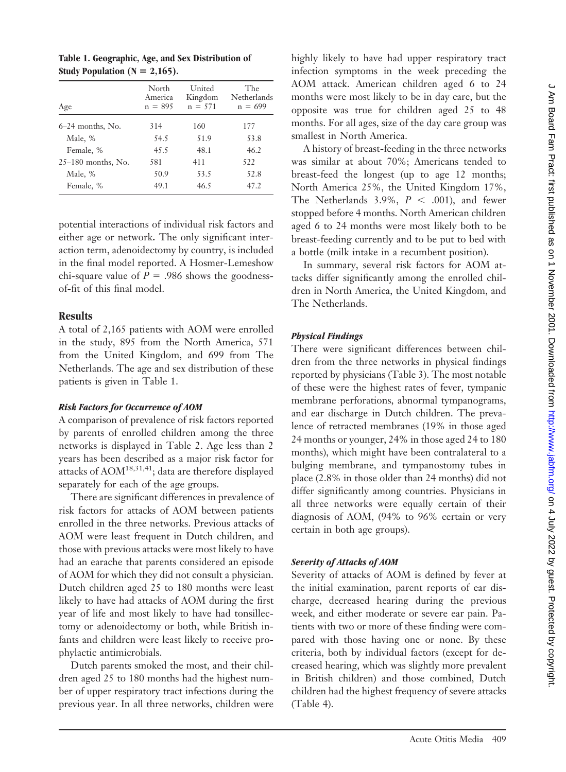| North<br>America<br>$n = 895$ | United<br>Kingdom<br>$n = 571$ | The<br>Netherlands<br>$n = 699$ |
|-------------------------------|--------------------------------|---------------------------------|
| 314                           | 160                            | 177                             |
| 54.5                          | 51.9                           | 53.8                            |
| 45.5                          | 48.1                           | 46.2                            |
| 581                           | 411                            | 522                             |
| 50.9                          | 53.5                           | 52.8                            |
| 49.1                          | 46.5                           | 47.2                            |
|                               |                                |                                 |

**Table 1. Geographic, Age, and Sex Distribution of Study Population (N** = 2,165).

potential interactions of individual risk factors and either age or network**.** The only significant interaction term, adenoidectomy by country, is included in the final model reported. A Hosmer-Lemeshow chi-square value of  $P = .986$  shows the goodnessof-fit of this final model.

### **Results**

A total of 2,165 patients with AOM were enrolled in the study, 895 from the North America, 571 from the United Kingdom, and 699 from The Netherlands. The age and sex distribution of these patients is given in Table 1.

# *Risk Factors for Occurrence of AOM*

A comparison of prevalence of risk factors reported by parents of enrolled children among the three networks is displayed in Table 2. Age less than 2 years has been described as a major risk factor for attacks of  $AOM^{18,31,41}$ ; data are therefore displayed separately for each of the age groups.

There are significant differences in prevalence of risk factors for attacks of AOM between patients enrolled in the three networks. Previous attacks of AOM were least frequent in Dutch children, and those with previous attacks were most likely to have had an earache that parents considered an episode of AOM for which they did not consult a physician. Dutch children aged 25 to 180 months were least likely to have had attacks of AOM during the first year of life and most likely to have had tonsillectomy or adenoidectomy or both, while British infants and children were least likely to receive prophylactic antimicrobials.

Dutch parents smoked the most, and their children aged 25 to 180 months had the highest number of upper respiratory tract infections during the previous year. In all three networks, children were

highly likely to have had upper respiratory tract infection symptoms in the week preceding the AOM attack. American children aged 6 to 24 months were most likely to be in day care, but the opposite was true for children aged 25 to 48 months. For all ages, size of the day care group was smallest in North America.

A history of breast-feeding in the three networks was similar at about 70%; Americans tended to breast-feed the longest (up to age 12 months; North America 25%, the United Kingdom 17%, The Netherlands 3.9%,  $P < .001$ ), and fewer stopped before 4 months. North American children aged 6 to 24 months were most likely both to be breast-feeding currently and to be put to bed with a bottle (milk intake in a recumbent position).

In summary, several risk factors for AOM attacks differ significantly among the enrolled children in North America, the United Kingdom, and The Netherlands.

## *Physical Findings*

There were significant differences between children from the three networks in physical findings reported by physicians (Table 3). The most notable of these were the highest rates of fever, tympanic membrane perforations, abnormal tympanograms, and ear discharge in Dutch children. The prevalence of retracted membranes (19% in those aged 24 months or younger, 24% in those aged 24 to 180 months), which might have been contralateral to a bulging membrane, and tympanostomy tubes in place (2.8% in those older than 24 months) did not differ significantly among countries. Physicians in all three networks were equally certain of their diagnosis of AOM, (94% to 96% certain or very certain in both age groups).

## *Severity of Attacks of AOM*

Severity of attacks of AOM is defined by fever at the initial examination, parent reports of ear discharge, decreased hearing during the previous week, and either moderate or severe ear pain. Patients with two or more of these finding were compared with those having one or none. By these criteria, both by individual factors (except for decreased hearing, which was slightly more prevalent in British children) and those combined, Dutch children had the highest frequency of severe attacks (Table 4).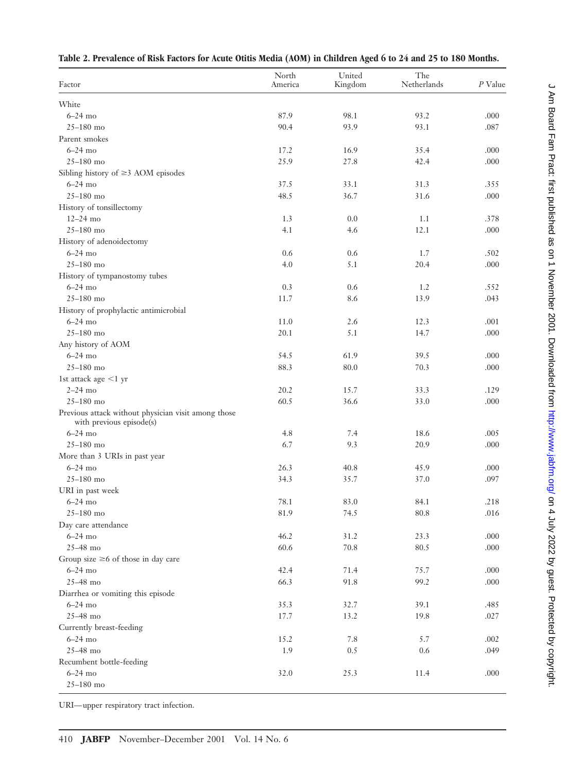|  | Table 2. Prevalence of Risk Factors for Acute Otitis Media (AOM) in Children Aged 6 to 24 and 25 to 180 Months. |  |
|--|-----------------------------------------------------------------------------------------------------------------|--|
|--|-----------------------------------------------------------------------------------------------------------------|--|

| Factor                                                                          | North<br>America | United<br>Kingdom | The<br>Netherlands | $P$ Value |
|---------------------------------------------------------------------------------|------------------|-------------------|--------------------|-----------|
| White                                                                           |                  |                   |                    |           |
| $6-24$ mo                                                                       | 87.9             | 98.1              | 93.2               | .000      |
| $25 - 180$ mo                                                                   | 90.4             | 93.9              | 93.1               | .087      |
| Parent smokes                                                                   |                  |                   |                    |           |
| $6-24$ mo                                                                       |                  |                   |                    |           |
|                                                                                 | 17.2             | 16.9              | 35.4               | .000      |
| $25 - 180$ mo                                                                   | 25.9             | 27.8              | 42.4               | .000      |
| Sibling history of $\geq$ 3 AOM episodes                                        |                  |                   |                    |           |
| $6-24$ mo                                                                       | 37.5             | 33.1              | 31.3               | .355      |
| $25 - 180$ mo                                                                   | 48.5             | 36.7              | 31.6               | .000      |
| History of tonsillectomy                                                        |                  |                   |                    |           |
| $12 - 24$ mo                                                                    | 1.3              | 0.0               | 1.1                | .378      |
| $25 - 180$ mo                                                                   | 4.1              | 4.6               | 12.1               | .000      |
| History of adenoidectomy                                                        |                  |                   |                    |           |
| $6-24$ mo                                                                       | 0.6              | 0.6               | 1.7                | .502      |
| $25 - 180$ mo                                                                   | 4.0              | 5.1               | 20.4               | .000      |
| History of tympanostomy tubes                                                   |                  |                   |                    |           |
| $6-24$ mo                                                                       | 0.3              | 0.6               | 1.2                | .552      |
| $25 - 180$ mo                                                                   | 11.7             | 8.6               | 13.9               | .043      |
| History of prophylactic antimicrobial                                           |                  |                   |                    |           |
| $6-24$ mo                                                                       | 11.0             | 2.6               | 12.3               | .001      |
| $25 - 180$ mo                                                                   | 20.1             | 5.1               | 14.7               | .000      |
| Any history of AOM                                                              |                  |                   |                    |           |
| $6-24$ mo                                                                       | 54.5             | 61.9              | 39.5               | .000      |
| $25 - 180$ mo                                                                   | 88.3             | 80.0              | 70.3               | .000      |
| 1st attack age <1 yr                                                            |                  |                   |                    |           |
| $2-24$ mo                                                                       | 20.2             | 15.7              | 33.3               | .129      |
| $25 - 180$ mo                                                                   | 60.5             | 36.6              | 33.0               | .000      |
| Previous attack without physician visit among those<br>with previous episode(s) |                  |                   |                    |           |
| $6-24$ mo                                                                       | 4.8              | 7.4               | 18.6               | .005      |
| $25 - 180$ mo                                                                   | 6.7              | 9.3               | 20.9               | .000      |
| More than 3 URIs in past year                                                   |                  |                   |                    |           |
| $6-24$ mo                                                                       | 26.3             | 40.8              | 45.9               | .000      |
| $25 - 180$ mo                                                                   | 34.3             | 35.7              | 37.0               | .097      |
| URI in past week                                                                |                  |                   |                    |           |
| $6-24$ mo                                                                       | 78.1             | 83.0              | 84.1               | .218      |
| $25 - 180$ mo                                                                   | 81.9             | 74.5              | 80.8               | $.016$    |
| Day care attendance                                                             |                  |                   |                    |           |
| $6-24$ mo                                                                       | 46.2             | 31.2              | 23.3               | .000      |
| 25-48 mo                                                                        | 60.6             | 70.8              | 80.5               | .000      |
| Group size $\geq 6$ of those in day care                                        |                  |                   |                    |           |
| $6-24$ mo                                                                       | 42.4             | 71.4              | 75.7               | .000      |
| 25-48 mo                                                                        | 66.3             | 91.8              | 99.2               | .000      |
| Diarrhea or vomiting this episode                                               |                  |                   |                    |           |
| $6-24$ mo                                                                       | 35.3             | 32.7              | 39.1               | .485      |
| $25-48$ mo                                                                      | 17.7             | 13.2              | 19.8               | .027      |
| Currently breast-feeding                                                        |                  |                   |                    |           |
| $6-24$ mo                                                                       | 15.2             | 7.8               | 5.7                | .002      |
| $25-48$ mo                                                                      | 1.9              | 0.5               | 0.6                | .049      |
| Recumbent bottle-feeding                                                        |                  |                   |                    |           |
| $6-24$ mo                                                                       | 32.0             | 25.3              | 11.4               | .000      |
| $25 - 180$ mo                                                                   |                  |                   |                    |           |

URI— upper respiratory tract infection.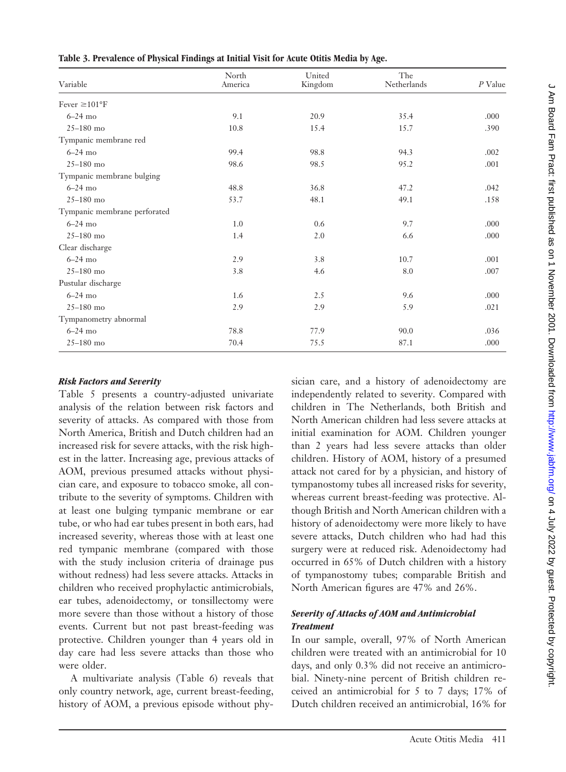|  |  |  | Table 3. Prevalence of Physical Findings at Initial Visit for Acute Otitis Media by Age. |
|--|--|--|------------------------------------------------------------------------------------------|
|--|--|--|------------------------------------------------------------------------------------------|

| Variable                     | North<br>America | United<br>Kingdom | The<br>Netherlands | $P$ Value |
|------------------------------|------------------|-------------------|--------------------|-----------|
|                              |                  |                   |                    |           |
| Fever $\geq 101^{\circ}$ F   |                  |                   |                    |           |
| $6-24$ mo                    | 9.1              | 20.9              | 35.4               | .000      |
| $25 - 180$ mo                | 10.8             | 15.4              | 15.7               | .390      |
| Tympanic membrane red        |                  |                   |                    |           |
| $6-24$ mo                    | 99.4             | 98.8              | 94.3               | .002      |
| $25 - 180$ mo                | 98.6             | 98.5              | 95.2               | .001      |
| Tympanic membrane bulging    |                  |                   |                    |           |
| $6-24$ mo                    | 48.8             | 36.8              | 47.2               | .042      |
| $25 - 180$ mo                | 53.7             | 48.1              | 49.1               | .158      |
| Tympanic membrane perforated |                  |                   |                    |           |
| $6-24$ mo                    | 1.0              | 0.6               | 9.7                | .000      |
| $25 - 180$ mo                | 1.4              | 2.0               | 6.6                | .000      |
| Clear discharge              |                  |                   |                    |           |
| $6-24$ mo                    | 2.9              | 3.8               | 10.7               | .001      |
| $25 - 180$ mo                | 3.8              | 4.6               | 8.0                | .007      |
| Pustular discharge           |                  |                   |                    |           |
| $6-24$ mo                    | 1.6              | 2.5               | 9.6                | .000      |
| $25 - 180$ mo                | 2.9              | 2.9               | 5.9                | .021      |
| Tympanometry abnormal        |                  |                   |                    |           |
| $6-24$ mo                    | 78.8             | 77.9              | 90.0               | .036      |
| $25 - 180$ mo                | 70.4             | 75.5              | 87.1               | .000      |

## *Risk Factors and Severity*

Table 5 presents a country-adjusted univariate analysis of the relation between risk factors and severity of attacks. As compared with those from North America, British and Dutch children had an increased risk for severe attacks, with the risk highest in the latter. Increasing age, previous attacks of AOM, previous presumed attacks without physician care, and exposure to tobacco smoke, all contribute to the severity of symptoms. Children with at least one bulging tympanic membrane or ear tube, or who had ear tubes present in both ears, had increased severity, whereas those with at least one red tympanic membrane (compared with those with the study inclusion criteria of drainage pus without redness) had less severe attacks. Attacks in children who received prophylactic antimicrobials, ear tubes, adenoidectomy, or tonsillectomy were more severe than those without a history of those events. Current but not past breast-feeding was protective. Children younger than 4 years old in day care had less severe attacks than those who were older.

A multivariate analysis (Table 6) reveals that only country network, age, current breast-feeding, history of AOM, a previous episode without physician care, and a history of adenoidectomy are independently related to severity. Compared with children in The Netherlands, both British and North American children had less severe attacks at initial examination for AOM. Children younger than 2 years had less severe attacks than older children. History of AOM, history of a presumed attack not cared for by a physician, and history of tympanostomy tubes all increased risks for severity, whereas current breast-feeding was protective. Although British and North American children with a history of adenoidectomy were more likely to have severe attacks, Dutch children who had had this surgery were at reduced risk. Adenoidectomy had occurred in 65% of Dutch children with a history of tympanostomy tubes; comparable British and North American figures are 47% and 26%.

## *Severity of Attacks of AOM and Antimicrobial Treatment*

In our sample, overall, 97% of North American children were treated with an antimicrobial for 10 days, and only 0.3% did not receive an antimicrobial. Ninety-nine percent of British children received an antimicrobial for 5 to 7 days; 17% of Dutch children received an antimicrobial, 16% for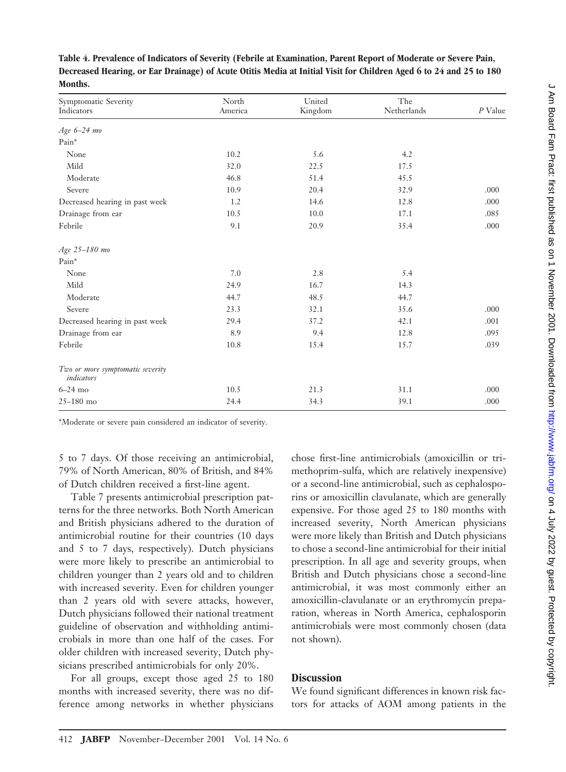| Symptomatic Severity<br>Indicators             | North<br>America | United<br>Kingdom | The<br>Netherlands | $P$ Value |
|------------------------------------------------|------------------|-------------------|--------------------|-----------|
| Age 6-24 mo                                    |                  |                   |                    |           |
| Pain*                                          |                  |                   |                    |           |
| None                                           | 10.2             | 5.6               | 4.2                |           |
| Mild                                           | 32.0             | 22.5              | 17.5               |           |
| Moderate                                       | 46.8             | 51.4              | 45.5               |           |
| Severe                                         | 10.9             | 20.4              | 32.9               | .000      |
| Decreased hearing in past week                 | 1.2              | 14.6              | 12.8               | .000      |
| Drainage from ear                              | 10.5             | 10.0              | 17.1               | .085      |
| Febrile                                        | 9.1              | 20.9              | 35.4               | .000      |
| Age 25-180 mo                                  |                  |                   |                    |           |
| Pain*                                          |                  |                   |                    |           |
| None                                           | 7.0              | 2.8               | 5.4                |           |
| Mild                                           | 24.9             | 16.7              | 14.3               |           |
| Moderate                                       | 44.7             | 48.5              | 44.7               |           |
| Severe                                         | 23.3             | 32.1              | 35.6               | .000      |
| Decreased hearing in past week                 | 29.4             | 37.2              | 42.1               | .001      |
| Drainage from ear                              | 8.9              | 9.4               | 12.8               | .095      |
| Febrile                                        | 10.8             | 15.4              | 15.7               | .039      |
| Two or more symptomatic severity<br>indicators |                  |                   |                    |           |
| $6-24$ mo                                      | 10.5             | 21.3              | 31.1               | .000      |
| $25 - 180$ mo                                  | 24.4             | 34.3              | 39.1               | .000      |

**Table 4. Prevalence of Indicators of Severity (Febrile at Examination, Parent Report of Moderate or Severe Pain, Decreased Hearing, or Ear Drainage) of Acute Otitis Media at Initial Visit for Children Aged 6 to 24 and 25 to 180 Months.**

\*Moderate or severe pain considered an indicator of severity.

5 to 7 days. Of those receiving an antimicrobial, 79% of North American, 80% of British, and 84% of Dutch children received a first-line agent.

Table 7 presents antimicrobial prescription patterns for the three networks. Both North American and British physicians adhered to the duration of antimicrobial routine for their countries (10 days and 5 to 7 days, respectively). Dutch physicians were more likely to prescribe an antimicrobial to children younger than 2 years old and to children with increased severity. Even for children younger than 2 years old with severe attacks, however, Dutch physicians followed their national treatment guideline of observation and withholding antimicrobials in more than one half of the cases. For older children with increased severity, Dutch physicians prescribed antimicrobials for only 20%.

For all groups, except those aged 25 to 180 months with increased severity, there was no difference among networks in whether physicians chose first-line antimicrobials (amoxicillin or trimethoprim-sulfa, which are relatively inexpensive) or a second-line antimicrobial, such as cephalosporins or amoxicillin clavulanate, which are generally expensive. For those aged 25 to 180 months with increased severity, North American physicians were more likely than British and Dutch physicians to chose a second-line antimicrobial for their initial prescription. In all age and severity groups, when British and Dutch physicians chose a second-line antimicrobial, it was most commonly either an amoxicillin-clavulanate or an erythromycin preparation, whereas in North America, cephalosporin antimicrobials were most commonly chosen (data not shown).

### **Discussion**

We found significant differences in known risk factors for attacks of AOM among patients in the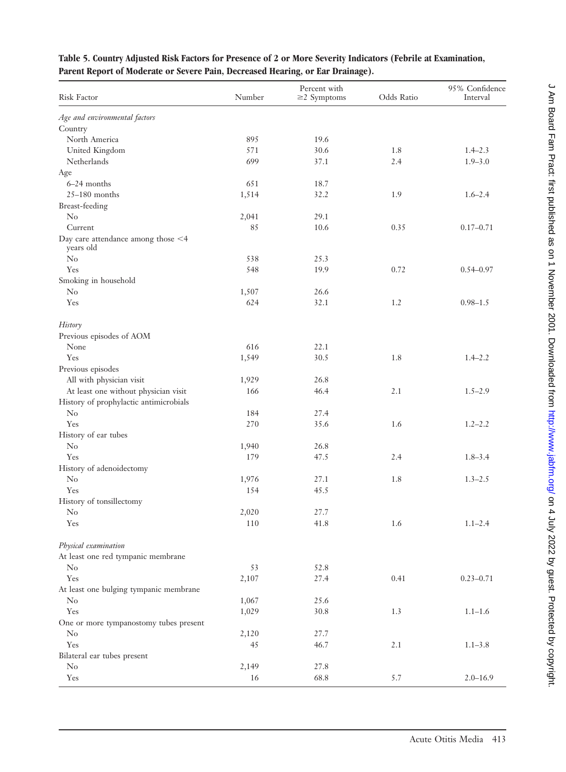| Risk Factor                                     | Number | Percent with<br>$\geq$ 2 Symptoms | Odds Ratio | 95% Confidence<br>Interval |
|-------------------------------------------------|--------|-----------------------------------|------------|----------------------------|
| Age and environmental factors                   |        |                                   |            |                            |
| Country                                         |        |                                   |            |                            |
| North America                                   | 895    | 19.6                              |            |                            |
| United Kingdom                                  | 571    | 30.6                              | 1.8        | $1.4 - 2.3$                |
| Netherlands                                     | 699    | 37.1                              | 2.4        | $1.9 - 3.0$                |
| Age                                             |        |                                   |            |                            |
| $6-24$ months                                   | 651    | 18.7                              |            |                            |
| $25-180$ months                                 | 1,514  | 32.2                              | 1.9        | $1.6 - 2.4$                |
| Breast-feeding                                  |        |                                   |            |                            |
| $\rm No$                                        | 2,041  | 29.1                              |            |                            |
| Current                                         | 85     | 10.6                              | 0.35       | $0.17 - 0.71$              |
| Day care attendance among those <4<br>years old |        |                                   |            |                            |
| N <sub>0</sub>                                  | 538    | 25.3                              |            |                            |
| Yes                                             | 548    | 19.9                              | 0.72       | $0.54 - 0.97$              |
| Smoking in household                            |        |                                   |            |                            |
| $\rm No$                                        | 1,507  | 26.6                              |            |                            |
| Yes                                             | 624    | 32.1                              | 1.2        | $0.98 - 1.5$               |
| History                                         |        |                                   |            |                            |
| Previous episodes of AOM                        |        |                                   |            |                            |
| None                                            | 616    | 22.1                              |            |                            |
| Yes                                             | 1,549  | 30.5                              | 1.8        | $1.4 - 2.2$                |
| Previous episodes                               |        |                                   |            |                            |
| All with physician visit                        | 1,929  | 26.8                              |            |                            |
| At least one without physician visit            | 166    | 46.4                              | 2.1        | $1.5 - 2.9$                |
| History of prophylactic antimicrobials          |        |                                   |            |                            |
| $\rm No$                                        | 184    | 27.4                              |            |                            |
| Yes                                             | 270    | 35.6                              | 1.6        | $1.2 - 2.2$                |
| History of ear tubes                            |        |                                   |            |                            |
| $\rm No$                                        | 1,940  | 26.8                              |            |                            |
| Yes                                             | 179    | 47.5                              | 2.4        | $1.8 - 3.4$                |
| History of adenoidectomy                        |        |                                   |            |                            |
| $\rm No$                                        | 1,976  | 27.1                              | 1.8        | $1.3 - 2.5$                |
| Yes                                             | 154    | 45.5                              |            |                            |
| History of tonsillectomy                        |        |                                   |            |                            |
| $\rm No$                                        | 2,020  | 27.7                              |            |                            |
| Yes                                             | 110    | $41.8\,$                          | 1.6        | $1.1 - 2.4$                |
| Physical examination                            |        |                                   |            |                            |
| At least one red tympanic membrane              |        |                                   |            |                            |
| $\rm No$                                        | 53     | 52.8                              |            |                            |
| Yes                                             | 2,107  | 27.4                              | 0.41       | $0.23 - 0.71$              |
| At least one bulging tympanic membrane          |        |                                   |            |                            |
| $\rm No$                                        | 1,067  | 25.6                              |            |                            |
| Yes                                             | 1,029  | 30.8                              | 1.3        | $1.1 - 1.6$                |
| One or more tympanostomy tubes present          |        |                                   |            |                            |
| $\rm No$                                        | 2,120  | 27.7                              |            |                            |
| Yes                                             | 45     | 46.7                              | 2.1        | $1.1 - 3.8$                |
| Bilateral ear tubes present                     |        |                                   |            |                            |
| $\rm No$                                        | 2,149  | 27.8                              |            |                            |
| Yes                                             | 16     | 68.8                              | 5.7        | $2.0 - 16.9$               |

## **Table 5. Country Adjusted Risk Factors for Presence of 2 or More Severity Indicators (Febrile at Examination, Parent Report of Moderate or Severe Pain, Decreased Hearing, or Ear Drainage).**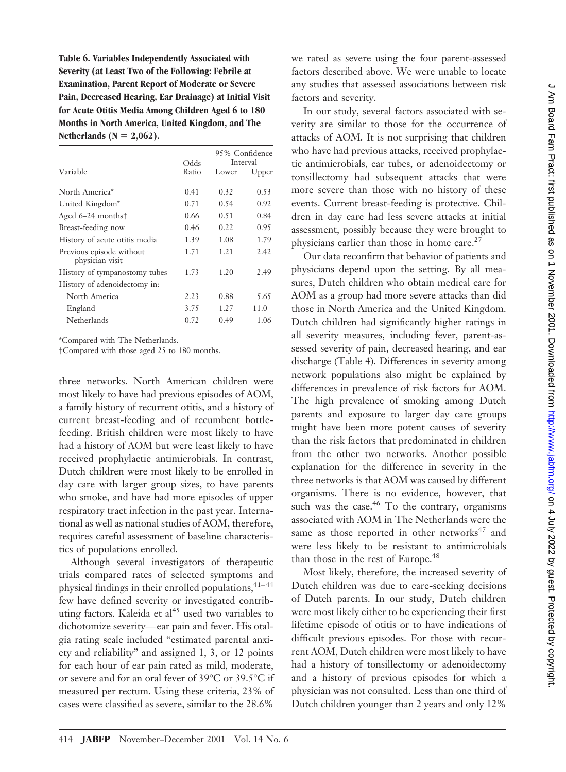**Table 6. Variables Independently Associated with Severity (at Least Two of the Following: Febrile at Examination, Parent Report of Moderate or Severe Pain, Decreased Hearing, Ear Drainage) at Initial Visit for Acute Otitis Media Among Children Aged 6 to 180 Months in North America, United Kingdom, and The** Netherlands ( $N = 2,062$ ).

|                                             | Odds  | 95% Confidence<br>Interval |       |
|---------------------------------------------|-------|----------------------------|-------|
| Variable                                    | Ratio | Lower                      | Upper |
| North America*                              | 0.41  | 0.32                       | 0.53  |
| United Kingdom*                             | 0.71  | 0.54                       | 0.92  |
| Aged $6-24$ months <sup>†</sup>             | 0.66  | 0.51                       | 0.84  |
| Breast-feeding now                          | 0.46  | 0.22                       | 0.95  |
| History of acute otitis media               | 1.39  | 1.08                       | 1.79  |
| Previous episode without<br>physician visit | 1.71  | 1.21                       | 2.42  |
| History of tympanostomy tubes               | 1.73  | 1.20                       | 2.49  |
| History of adenoidectomy in:                |       |                            |       |
| North America                               | 2.23  | 0.88                       | 5.65  |
| England                                     | 3.75  | 1.27                       | 11.0  |
| Netherlands                                 | 0.72  | 0.49                       | 1.06  |

\*Compared with The Netherlands.

†Compared with those aged 25 to 180 months.

three networks. North American children were most likely to have had previous episodes of AOM, a family history of recurrent otitis, and a history of current breast-feeding and of recumbent bottlefeeding. British children were most likely to have had a history of AOM but were least likely to have received prophylactic antimicrobials. In contrast, Dutch children were most likely to be enrolled in day care with larger group sizes, to have parents who smoke, and have had more episodes of upper respiratory tract infection in the past year. International as well as national studies of AOM, therefore, requires careful assessment of baseline characteristics of populations enrolled.

Although several investigators of therapeutic trials compared rates of selected symptoms and physical findings in their enrolled populations,  $41-44$ few have defined severity or investigated contributing factors. Kaleida et  $al<sup>45</sup>$  used two variables to dichotomize severity— ear pain and fever. His otalgia rating scale included "estimated parental anxiety and reliability" and assigned 1, 3, or 12 points for each hour of ear pain rated as mild, moderate, or severe and for an oral fever of 39°C or 39.5°C if measured per rectum. Using these criteria, 23% of cases were classified as severe, similar to the 28.6%

we rated as severe using the four parent-assessed factors described above. We were unable to locate any studies that assessed associations between risk factors and severity.

In our study, several factors associated with severity are similar to those for the occurrence of attacks of AOM. It is not surprising that children who have had previous attacks, received prophylactic antimicrobials, ear tubes, or adenoidectomy or tonsillectomy had subsequent attacks that were more severe than those with no history of these events. Current breast-feeding is protective. Children in day care had less severe attacks at initial assessment, possibly because they were brought to physicians earlier than those in home care.<sup>27</sup>

Our data reconfirm that behavior of patients and physicians depend upon the setting. By all measures, Dutch children who obtain medical care for AOM as a group had more severe attacks than did those in North America and the United Kingdom. Dutch children had significantly higher ratings in all severity measures, including fever, parent-assessed severity of pain, decreased hearing, and ear discharge (Table 4). Differences in severity among network populations also might be explained by differences in prevalence of risk factors for AOM. The high prevalence of smoking among Dutch parents and exposure to larger day care groups might have been more potent causes of severity than the risk factors that predominated in children from the other two networks. Another possible explanation for the difference in severity in the three networks is that AOM was caused by different organisms. There is no evidence, however, that such was the case. $46$  To the contrary, organisms associated with AOM in The Netherlands were the same as those reported in other networks $47$  and were less likely to be resistant to antimicrobials than those in the rest of Europe.<sup>48</sup>

Most likely, therefore, the increased severity of Dutch children was due to care-seeking decisions of Dutch parents. In our study, Dutch children were most likely either to be experiencing their first lifetime episode of otitis or to have indications of difficult previous episodes. For those with recurrent AOM, Dutch children were most likely to have had a history of tonsillectomy or adenoidectomy and a history of previous episodes for which a physician was not consulted. Less than one third of Dutch children younger than 2 years and only 12%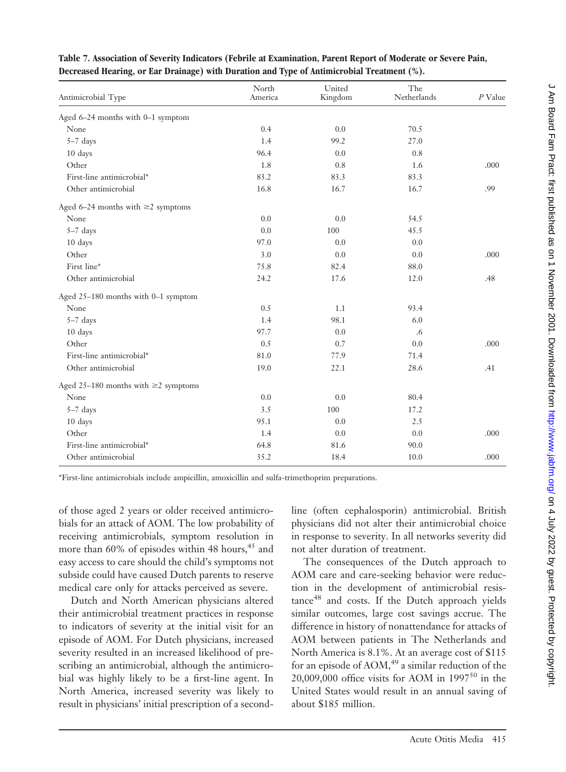| Antimicrobial Type                        | North<br>America | United<br>Kingdom | The<br>Netherlands | $P$ Value |
|-------------------------------------------|------------------|-------------------|--------------------|-----------|
| Aged 6-24 months with 0-1 symptom         |                  |                   |                    |           |
| None                                      | 0.4              | 0.0               | 70.5               |           |
| $5-7$ days                                | 1.4              | 99.2              | 27.0               |           |
| 10 days                                   | 96.4             | 0.0               | 0.8                |           |
| Other                                     | 1.8              | 0.8               | 1.6                | .000      |
| First-line antimicrobial*                 | 83.2             | 83.3              | 83.3               |           |
| Other antimicrobial                       | 16.8             | 16.7              | 16.7               | .99       |
| Aged 6-24 months with $\geq$ 2 symptoms   |                  |                   |                    |           |
| None                                      | 0.0              | 0.0               | 54.5               |           |
| $5-7$ days                                | 0.0              | 100               | 45.5               |           |
| 10 days                                   | 97.0             | 0.0               | 0.0                |           |
| Other                                     | 3.0              | 0.0               | 0.0                | .000      |
| First line*                               | 75.8             | 82.4              | 88.0               |           |
| Other antimicrobial                       | 24.2             | 17.6              | 12.0               | .48       |
| Aged 25-180 months with 0-1 symptom       |                  |                   |                    |           |
| None                                      | 0.5              | 1.1               | 93.4               |           |
| $5-7$ days                                | 1.4              | 98.1              | 6.0                |           |
| 10 days                                   | 97.7             | 0.0               | .6                 |           |
| Other                                     | 0.5              | 0.7               | 0.0                | .000      |
| First-line antimicrobial*                 | 81.0             | 77.9              | 71.4               |           |
| Other antimicrobial                       | 19.0             | 22.1              | 28.6               | .41       |
| Aged 25-180 months with $\geq$ 2 symptoms |                  |                   |                    |           |
| None                                      | 0.0              | 0.0               | 80.4               |           |
| $5-7$ days                                | 3.5              | 100               | 17.2               |           |
| 10 days                                   | 95.1             | 0.0               | 2.5                |           |
| Other                                     | 1.4              | 0.0               | 0.0                | .000      |
| First-line antimicrobial*                 | 64.8             | 81.6              | 90.0               |           |
| Other antimicrobial                       | 35.2             | 18.4              | 10.0               | .000      |
|                                           |                  |                   |                    |           |

**Table 7. Association of Severity Indicators (Febrile at Examination, Parent Report of Moderate or Severe Pain, Decreased Hearing, or Ear Drainage) with Duration and Type of Antimicrobial Treatment (%).**

\*First-line antimicrobials include ampicillin, amoxicillin and sulfa-trimethoprim preparations.

of those aged 2 years or older received antimicrobials for an attack of AOM. The low probability of receiving antimicrobials, symptom resolution in more than 60% of episodes within 48 hours, $45$  and easy access to care should the child's symptoms not subside could have caused Dutch parents to reserve medical care only for attacks perceived as severe.

Dutch and North American physicians altered their antimicrobial treatment practices in response to indicators of severity at the initial visit for an episode of AOM. For Dutch physicians, increased severity resulted in an increased likelihood of prescribing an antimicrobial, although the antimicrobial was highly likely to be a first-line agent. In North America, increased severity was likely to result in physicians' initial prescription of a secondline (often cephalosporin) antimicrobial. British physicians did not alter their antimicrobial choice in response to severity. In all networks severity did not alter duration of treatment.

The consequences of the Dutch approach to AOM care and care-seeking behavior were reduction in the development of antimicrobial resistance<sup>48</sup> and costs. If the Dutch approach yields similar outcomes, large cost savings accrue. The difference in history of nonattendance for attacks of AOM between patients in The Netherlands and North America is 8.1%. At an average cost of \$115 for an episode of  $AOM<sub>1</sub><sup>49</sup>$  a similar reduction of the 20,009,000 office visits for AOM in  $1997^{50}$  in the United States would result in an annual saving of about \$185 million.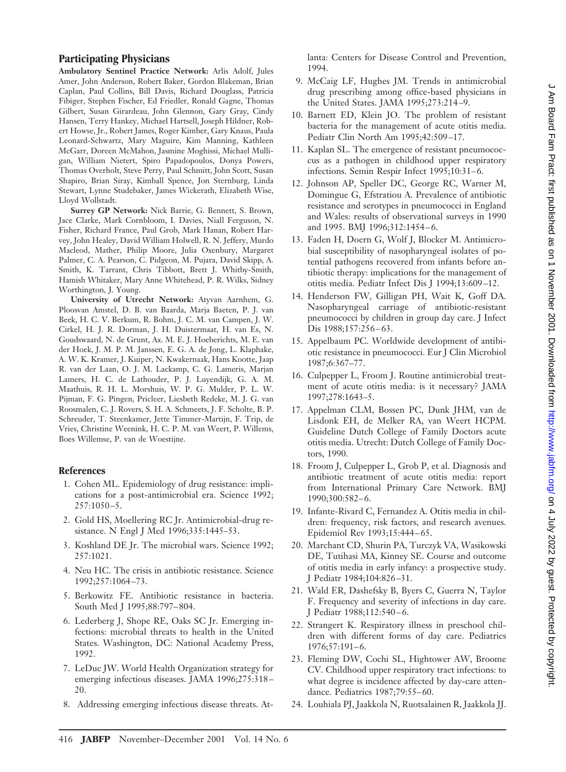### **Participating Physicians**

**Ambulatory Sentinel Practice Network:** Arlis Adolf, Jules Amer, John Anderson, Robert Baker, Gordon Blakeman, Brian Caplan, Paul Collins, Bill Davis, Richard Douglass, Patricia Fibiger, Stephen Fischer, Ed Friedler, Ronald Gagne, Thomas Gilbert, Susan Girardeau, John Glennon, Gary Gray, Cindy Hansen, Terry Hankey, Michael Hartsell, Joseph Hildner, Robert Howse, Jr., Robert James, Roger Kimber, Gary Knaus, Paula Leonard-Schwartz, Mary Maguire, Kim Manning, Kathleen McGarr, Doreen McMahon, Jasmine Moghissi, Michael Mulligan, William Nietert, Spiro Papadopoulos, Donya Powers, Thomas Overholt, Steve Perry, Paul Schmitt, John Scott, Susan Shapiro, Brian Siray, Kimball Spence, Jon Sternburg, Linda Stewart, Lynne Studebaker, James Wickerath, Elizabeth Wise, Lloyd Wollstadt.

**Surrey GP Network:** Nick Barrie, G. Bennett, S. Brown, Jace Clarke, Mark Cornbloom, I. Davies, Niall Ferguson, N. Fisher, Richard France, Paul Grob, Mark Hanan, Robert Harvey, John Healey, David William Holwell, R. N. Jeffery, Murdo Macleod, Mather, Philip Moore, Julia Oxenbury, Margaret Palmer, C. A. Pearson, C. Pidgeon, M. Pujara, David Skipp, A. Smith, K. Tarrant, Chris Tibbott, Brett J. Whitby-Smith, Hamish Whitaker, Mary Anne Whitehead, P. R. Wilks, Sidney Worthington, J. Young.

**University of Utrecht Network:** Atyvan Aarnhem, G. Ploosvan Amstel, D. B. van Baarda, Marja Baeten, P. J. van Beek, H. C. V. Berkum, R. Bohm, J. C. M. van Campen, J. W. Cirkel, H. J. R. Dorman, J. H. Duistermaat, H. van Es, N. Goudswaard, N. de Grunt, Ax. M. E. J. Hoeberichts, M. E. van der Hoek, J. M. P. M. Janssen, E. G. A. de Jong, L. Klaphake, A. W. K. Kramer, J. Kuiper, N. Kwakernaak, Hans Kootte, Jaap R. van der Laan, O. J. M. Lackamp, C. G. Lameris, Marjan Lamers, H. C. de Lathouder, P. J. Luyendijk, G. A. M. Maathuis, R. H. L. Morshuis, W. P. G. Mulder, P. L. W. Pijman, F. G. Pingen, Pricleer, Liesbeth Redeke, M. J. G. van Roosmalen, C. J. Rovers, S. H. A. Schmeets, J. F. Scholte, B. P. Schreuder, T. Steenkamer, Jette Timmer-Martijn, F. Trip, de Vries, Christine Weenink, H. C. P. M. van Weert, P. Willems, Boes Willemse, P. van de Woestijne.

#### **References**

- 1. Cohen ML. Epidemiology of drug resistance: implications for a post-antimicrobial era. Science 1992;  $257:1050 - 5.$
- 2. Gold HS, Moellering RC Jr. Antimicrobial-drug resistance. N Engl J Med 1996;335:1445-53.
- 3. Koshland DE Jr. The microbial wars. Science 1992; 257:1021.
- 4. Neu HC. The crisis in antibiotic resistance. Science 1992;257:1064 –73.
- 5. Berkowitz FE. Antibiotic resistance in bacteria. South Med J 1995;88:797-804.
- 6. Lederberg J, Shope RE, Oaks SC Jr. Emerging infections: microbial threats to health in the United States. Washington, DC: National Academy Press, 1992.
- 7. LeDuc JW. World Health Organization strategy for emerging infectious diseases. JAMA 1996;275:318 – 20.
- 8. Addressing emerging infectious disease threats. At-

lanta: Centers for Disease Control and Prevention, 1994.

- 9. McCaig LF, Hughes JM. Trends in antimicrobial drug prescribing among office-based physicians in the United States. JAMA 1995;273:214 –9.
- 10. Barnett ED, Klein JO. The problem of resistant bacteria for the management of acute otitis media. Pediatr Clin North Am 1995;42:509 –17.
- 11. Kaplan SL. The emergence of resistant pneumococcus as a pathogen in childhood upper respiratory infections. Semin Respir Infect 1995;10:31-6.
- 12. Johnson AP, Speller DC, George RC, Warner M, Domingue G, Efstratiou A. Prevalence of antibiotic resistance and serotypes in pneumococci in England and Wales: results of observational surveys in 1990 and 1995. BMJ 1996;312:1454-6.
- 13. Faden H, Doern G, Wolf J, Blocker M. Antimicrobial susceptibility of nasopharyngeal isolates of potential pathogens recovered from infants before antibiotic therapy: implications for the management of otitis media. Pediatr Infect Dis J1994;13:609 –12.
- 14. Henderson FW, Gilligan PH, Wait K, Goff DA. Nasopharyngeal carriage of antibiotic-resistant pneumococci by children in group day care. J Infect Dis 1988;157:256-63.
- 15. Appelbaum PC. Worldwide development of antibiotic resistance in pneumococci. Eur JClin Microbiol 1987;6:367–77.
- 16. Culpepper L, Froom J. Routine antimicrobial treatment of acute otitis media: is it necessary? JAMA 1997;278:1643–5.
- 17. Appelman CLM, Bossen PC, Dunk JHM, van de Lisdonk EH, de Melker RA, van Weert HCPM. Guideline Dutch College of Family Doctors acute otitis media. Utrecht: Dutch College of Family Doctors, 1990.
- 18. Froom J, Culpepper L, Grob P, et al. Diagnosis and antibiotic treatment of acute otitis media: report from International Primary Care Network. BMJ 1990;300:582– 6.
- 19. Infante-Rivard C, Fernandez A. Otitis media in children: frequency, risk factors, and research avenues. Epidemiol Rev 1993;15:444 – 65.
- 20. Marchant CD, Shurin PA, Turczyk VA, Wasikowski DE, Tutihasi MA, Kinney SE. Course and outcome of otitis media in early infancy: a prospective study. JPediatr 1984;104:826 –31.
- 21. Wald ER, Dashefsky B, Byers C, Guerra N, Taylor F. Frequency and severity of infections in day care. JPediatr 1988;112:540 – 6.
- 22. Strangert K. Respiratory illness in preschool children with different forms of day care. Pediatrics 1976;57:191– 6.
- 23. Fleming DW, Cochi SL, Hightower AW, Broome CV. Childhood upper respiratory tract infections: to what degree is incidence affected by day-care attendance. Pediatrics 1987;79:55-60.
- 24. Louhiala PJ, Jaakkola N, Ruotsalainen R, Jaakkola JJ.